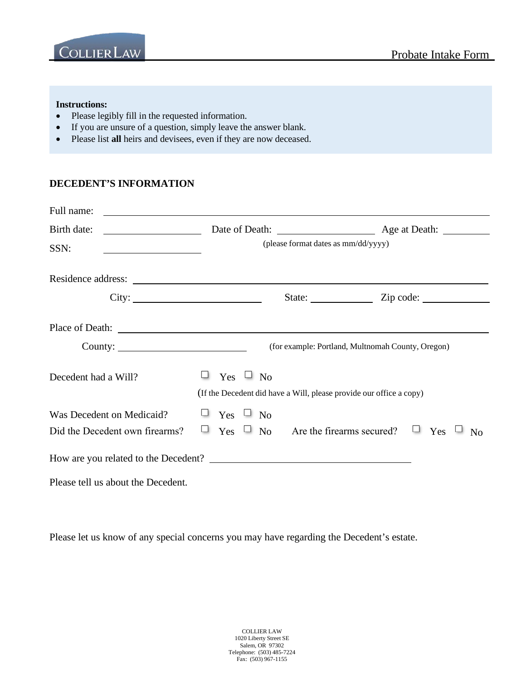



#### **Instructions:**

- Please legibly fill in the requested information.
- If you are unsure of a question, simply leave the answer blank.
- Please list **all** heirs and devisees, even if they are now deceased.

### **DECEDENT'S INFORMATION**

| Full name:                                                                                                                                                                                                                           | <u>and the state of the state of the state of the state of the state of the state of the state of the state of th</u> |                                                                     |  |
|--------------------------------------------------------------------------------------------------------------------------------------------------------------------------------------------------------------------------------------|-----------------------------------------------------------------------------------------------------------------------|---------------------------------------------------------------------|--|
| Birth date:                                                                                                                                                                                                                          |                                                                                                                       |                                                                     |  |
| SSN:                                                                                                                                                                                                                                 | (please format dates as mm/dd/yyyy)                                                                                   |                                                                     |  |
|                                                                                                                                                                                                                                      |                                                                                                                       |                                                                     |  |
|                                                                                                                                                                                                                                      | City:                                                                                                                 | State: <u>Zip</u> code:                                             |  |
| Place of Death: <u>Death and the set of the set of the set of the set of the set of the set of the set of the set of the set of the set of the set of the set of the set of the set of the set of the set of the set of the set </u> |                                                                                                                       |                                                                     |  |
| County: $\qquad \qquad$                                                                                                                                                                                                              |                                                                                                                       | (for example: Portland, Multnomah County, Oregon)                   |  |
| Decedent had a Will?                                                                                                                                                                                                                 | $\Box$ Yes $\Box$ No<br>(If the Decedent did have a Will, please provide our office a copy)                           |                                                                     |  |
| Was Decedent on Medicaid?<br>Did the Decedent own firearms?                                                                                                                                                                          | $\Box$ Yes $\Box$ No                                                                                                  | $\Box$ Yes $\Box$ No Are the firearms secured? $\Box$ Yes $\Box$ No |  |
|                                                                                                                                                                                                                                      |                                                                                                                       |                                                                     |  |
| Please tell us about the Decedent.                                                                                                                                                                                                   |                                                                                                                       |                                                                     |  |

Please let us know of any special concerns you may have regarding the Decedent's estate.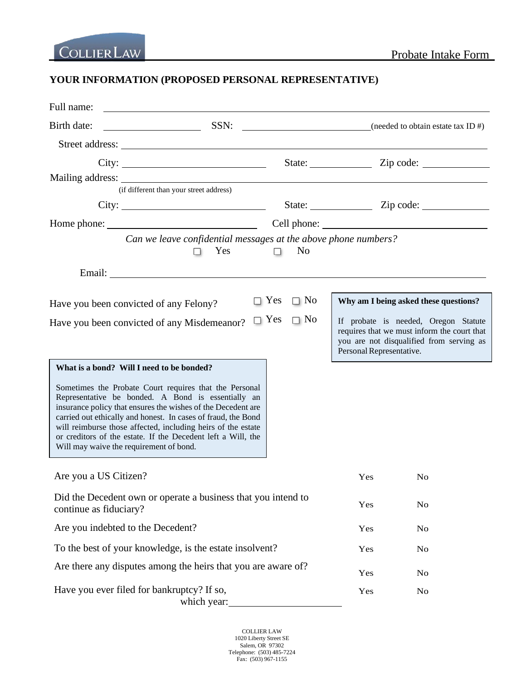# **YOUR INFORMATION (PROPOSED PERSONAL REPRESENTATIVE)**

| Full name:                                                                                                                                                                                                                                                                                                                                                                                                                                                            |                         |                          |                                                                                                                                 |
|-----------------------------------------------------------------------------------------------------------------------------------------------------------------------------------------------------------------------------------------------------------------------------------------------------------------------------------------------------------------------------------------------------------------------------------------------------------------------|-------------------------|--------------------------|---------------------------------------------------------------------------------------------------------------------------------|
| Birth date:                                                                                                                                                                                                                                                                                                                                                                                                                                                           |                         |                          |                                                                                                                                 |
| Street address:                                                                                                                                                                                                                                                                                                                                                                                                                                                       |                         |                          |                                                                                                                                 |
| City:                                                                                                                                                                                                                                                                                                                                                                                                                                                                 |                         |                          |                                                                                                                                 |
|                                                                                                                                                                                                                                                                                                                                                                                                                                                                       |                         |                          |                                                                                                                                 |
| (if different than your street address)                                                                                                                                                                                                                                                                                                                                                                                                                               |                         |                          |                                                                                                                                 |
| City:                                                                                                                                                                                                                                                                                                                                                                                                                                                                 |                         |                          | State: Zip code:                                                                                                                |
| Home phone:<br>Can we leave confidential messages at the above phone numbers?<br>Yes<br>. .                                                                                                                                                                                                                                                                                                                                                                           | N <sub>0</sub><br>n.    |                          |                                                                                                                                 |
|                                                                                                                                                                                                                                                                                                                                                                                                                                                                       |                         |                          |                                                                                                                                 |
| Have you been convicted of any Felony?                                                                                                                                                                                                                                                                                                                                                                                                                                | $\Box$ Yes<br>$\Box$ No |                          | Why am I being asked these questions?                                                                                           |
| Have you been convicted of any Misdemeanor?                                                                                                                                                                                                                                                                                                                                                                                                                           | $\Box$ Yes<br>$\Box$ No | Personal Representative. | If probate is needed, Oregon Statute<br>requires that we must inform the court that<br>you are not disqualified from serving as |
| What is a bond? Will I need to be bonded?<br>Sometimes the Probate Court requires that the Personal<br>Representative be bonded. A Bond is essentially an<br>insurance policy that ensures the wishes of the Decedent are<br>carried out ethically and honest. In cases of fraud, the Bond<br>will reimburse those affected, including heirs of the estate<br>or creditors of the estate. If the Decedent left a Will, the<br>Will may waive the requirement of bond. |                         |                          |                                                                                                                                 |
| Are you a US Citizen?                                                                                                                                                                                                                                                                                                                                                                                                                                                 |                         | Yes                      | N <sub>0</sub>                                                                                                                  |
| Did the Decedent own or operate a business that you intend to<br>continue as fiduciary?                                                                                                                                                                                                                                                                                                                                                                               |                         | Yes                      | No                                                                                                                              |
| Are you indebted to the Decedent?                                                                                                                                                                                                                                                                                                                                                                                                                                     |                         | Yes                      | No                                                                                                                              |
| To the best of your knowledge, is the estate insolvent?                                                                                                                                                                                                                                                                                                                                                                                                               |                         | Yes                      | N <sub>o</sub>                                                                                                                  |
| Are there any disputes among the heirs that you are aware of?                                                                                                                                                                                                                                                                                                                                                                                                         |                         | Yes                      | N <sub>o</sub>                                                                                                                  |
| Have you ever filed for bankruptcy? If so,<br>which year:                                                                                                                                                                                                                                                                                                                                                                                                             |                         | Yes                      | No                                                                                                                              |

COLLIER LAW 1020 Liberty Street SE Salem, OR 97302 Telephone: (503) 485-7224 Fax: (503) 967-1155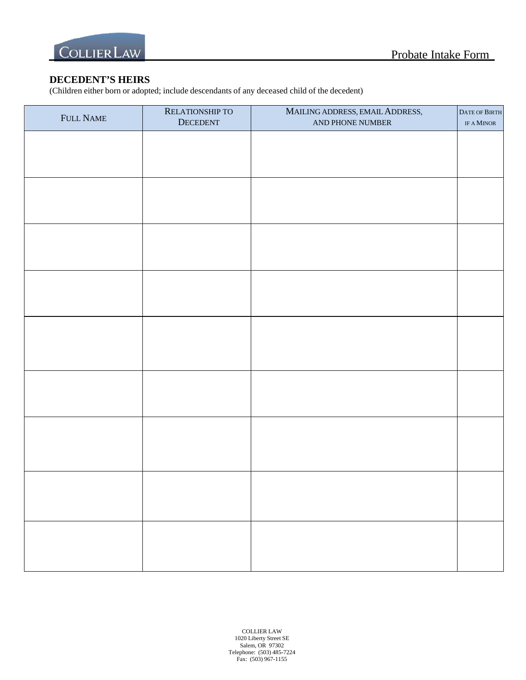

### **DECEDENT'S HEIRS**

(Children either born or adopted; include descendants of any deceased child of the decedent)

| FULL NAME | RELATIONSHIP TO<br>DECEDENT | MAILING ADDRESS, EMAIL ADDRESS,<br>AND PHONE NUMBER | <b>DATE OF BIRTH</b><br>IF A MINOR |
|-----------|-----------------------------|-----------------------------------------------------|------------------------------------|
|           |                             |                                                     |                                    |
|           |                             |                                                     |                                    |
|           |                             |                                                     |                                    |
|           |                             |                                                     |                                    |
|           |                             |                                                     |                                    |
|           |                             |                                                     |                                    |
|           |                             |                                                     |                                    |
|           |                             |                                                     |                                    |
|           |                             |                                                     |                                    |
|           |                             |                                                     |                                    |
|           |                             |                                                     |                                    |
|           |                             |                                                     |                                    |
|           |                             |                                                     |                                    |
|           |                             |                                                     |                                    |
|           |                             |                                                     |                                    |
|           |                             |                                                     |                                    |
|           |                             |                                                     |                                    |
|           |                             |                                                     |                                    |
|           |                             |                                                     |                                    |
|           |                             |                                                     |                                    |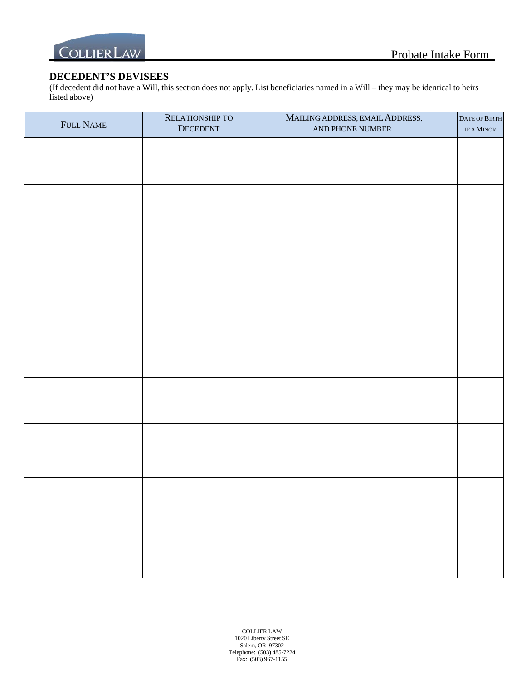

# **DECEDENT'S DEVISEES**

(If decedent did not have a Will, this section does not apply. List beneficiaries named in a Will – they may be identical to heirs listed above)

| FULL NAME | RELATIONSHIP TO<br>DECEDENT | MAILING ADDRESS, EMAIL ADDRESS,<br>AND PHONE NUMBER | DATE OF BIRTH<br>IF A MINOR |
|-----------|-----------------------------|-----------------------------------------------------|-----------------------------|
|           |                             |                                                     |                             |
|           |                             |                                                     |                             |
|           |                             |                                                     |                             |
|           |                             |                                                     |                             |
|           |                             |                                                     |                             |
|           |                             |                                                     |                             |
|           |                             |                                                     |                             |
|           |                             |                                                     |                             |
|           |                             |                                                     |                             |
|           |                             |                                                     |                             |
|           |                             |                                                     |                             |
|           |                             |                                                     |                             |
|           |                             |                                                     |                             |
|           |                             |                                                     |                             |
|           |                             |                                                     |                             |
|           |                             |                                                     |                             |
|           |                             |                                                     |                             |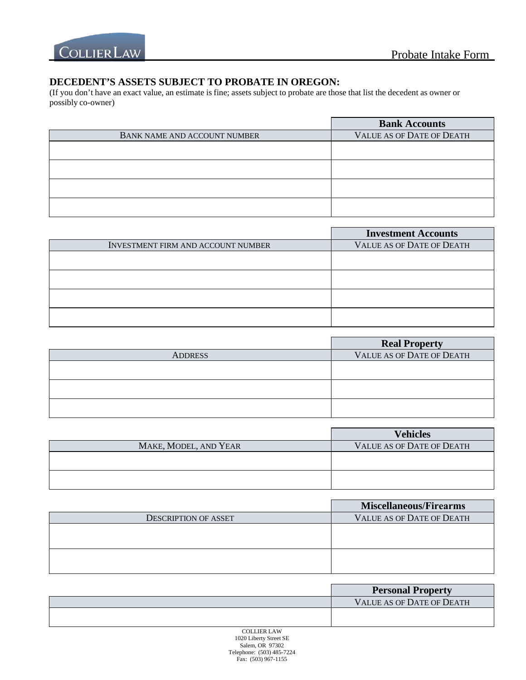

# **DECEDENT'S ASSETS SUBJECT TO PROBATE IN OREGON:**

(If you don't have an exact value, an estimate is fine; assets subject to probate are those that list the decedent as owner or possibly co-owner)

|                                     | <b>Bank Accounts</b>             |
|-------------------------------------|----------------------------------|
| <b>BANK NAME AND ACCOUNT NUMBER</b> | <b>VALUE AS OF DATE OF DEATH</b> |
|                                     |                                  |
|                                     |                                  |
|                                     |                                  |
|                                     |                                  |

|                                           | <b>Investment Accounts</b>       |
|-------------------------------------------|----------------------------------|
| <b>INVESTMENT FIRM AND ACCOUNT NUMBER</b> | <b>VALUE AS OF DATE OF DEATH</b> |
|                                           |                                  |
|                                           |                                  |
|                                           |                                  |
|                                           |                                  |

|                | <b>Real Property</b>             |
|----------------|----------------------------------|
| <b>ADDRESS</b> | <b>VALUE AS OF DATE OF DEATH</b> |
|                |                                  |
|                |                                  |
|                |                                  |
|                |                                  |
|                |                                  |

|                       | <b>Vehicles</b>                  |
|-----------------------|----------------------------------|
| MAKE, MODEL, AND YEAR | <b>VALUE AS OF DATE OF DEATH</b> |
|                       |                                  |
|                       |                                  |
|                       |                                  |
|                       |                                  |

|                             | <b>Miscellaneous/Firearms</b>    |
|-----------------------------|----------------------------------|
| <b>DESCRIPTION OF ASSET</b> | <b>VALUE AS OF DATE OF DEATH</b> |
|                             |                                  |
|                             |                                  |
|                             |                                  |
|                             |                                  |

| <b>Personal Property</b>         |
|----------------------------------|
| <b>VALUE AS OF DATE OF DEATH</b> |
|                                  |
|                                  |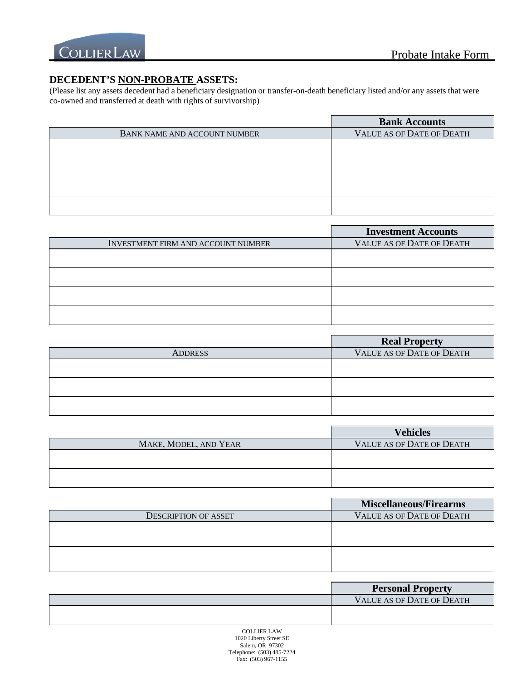

# **DECEDENT'S NON-PROBATE ASSETS:**

(Please list any assets decedent had a beneficiary designation or transfer-on-death beneficiary listed and/or any assets that were co-owned and transferred at death with rights of survivorship)

|                                     | <b>Bank Accounts</b>             |
|-------------------------------------|----------------------------------|
| <b>BANK NAME AND ACCOUNT NUMBER</b> | <b>VALUE AS OF DATE OF DEATH</b> |
|                                     |                                  |
|                                     |                                  |
|                                     |                                  |
|                                     |                                  |

|                                           | <b>Investment Accounts</b>       |
|-------------------------------------------|----------------------------------|
| <b>INVESTMENT FIRM AND ACCOUNT NUMBER</b> | <b>VALUE AS OF DATE OF DEATH</b> |
|                                           |                                  |
|                                           |                                  |
|                                           |                                  |
|                                           |                                  |

|                | <b>Real Property</b>      |
|----------------|---------------------------|
| <b>ADDRESS</b> | VALUE AS OF DATE OF DEATH |
|                |                           |
|                |                           |
|                |                           |
|                |                           |
|                |                           |

|                       | <b>Vehicles</b>                  |
|-----------------------|----------------------------------|
| MAKE, MODEL, AND YEAR | <b>VALUE AS OF DATE OF DEATH</b> |
|                       |                                  |
|                       |                                  |
|                       |                                  |
|                       |                                  |

|                             | <b>Miscellaneous/Firearms</b>    |
|-----------------------------|----------------------------------|
| <b>DESCRIPTION OF ASSET</b> | <b>VALUE AS OF DATE OF DEATH</b> |
|                             |                                  |
|                             |                                  |
|                             |                                  |
|                             |                                  |

| <b>Personal Property</b>         |
|----------------------------------|
| <b>VALUE AS OF DATE OF DEATH</b> |
|                                  |